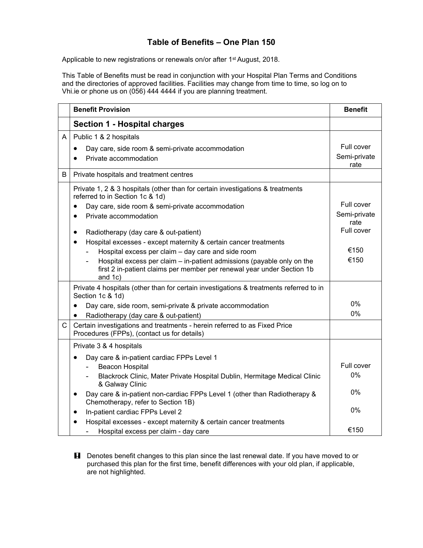## **Table of Benefits – One Plan 150**

Applicable to new registrations or renewals on/or after 1<sup>st</sup> August, 2018.

This Table of Benefits must be read in conjunction with your Hospital Plan Terms and Conditions and the directories of approved facilities. Facilities may change from time to time, so log on to Vhi.ie or phone us on (056) 444 4444 if you are planning treatment.

|   | <b>Benefit Provision</b>                                                                                                                                                                                             | <b>Benefit</b>                     |
|---|----------------------------------------------------------------------------------------------------------------------------------------------------------------------------------------------------------------------|------------------------------------|
|   | <b>Section 1 - Hospital charges</b>                                                                                                                                                                                  |                                    |
| A | Public 1 & 2 hospitals<br>Day care, side room & semi-private accommodation<br>$\bullet$<br>Private accommodation                                                                                                     | Full cover<br>Semi-private<br>rate |
| B | Private hospitals and treatment centres                                                                                                                                                                              |                                    |
|   | Private 1, 2 & 3 hospitals (other than for certain investigations & treatments<br>referred to in Section 1c & 1d)<br>Day care, side room & semi-private accommodation                                                | Full cover                         |
|   | Private accommodation<br>$\bullet$                                                                                                                                                                                   | Semi-private<br>rate               |
|   | Radiotherapy (day care & out-patient)<br>$\bullet$<br>Hospital excesses - except maternity & certain cancer treatments<br>$\bullet$                                                                                  | Full cover                         |
|   | Hospital excess per claim - day care and side room<br>Hospital excess per claim – in-patient admissions (payable only on the<br>first 2 in-patient claims per member per renewal year under Section 1b<br>and $1c$ ) | €150<br>€150                       |
|   | Private 4 hospitals (other than for certain investigations & treatments referred to in<br>Section 1c & 1d)                                                                                                           |                                    |
|   | Day care, side room, semi-private & private accommodation<br>$\bullet$<br>Radiotherapy (day care & out-patient)<br>$\bullet$                                                                                         | 0%<br>0%                           |
| C | Certain investigations and treatments - herein referred to as Fixed Price<br>Procedures (FPPs), (contact us for details)                                                                                             |                                    |
|   | Private 3 & 4 hospitals                                                                                                                                                                                              |                                    |
|   | Day care & in-patient cardiac FPPs Level 1<br><b>Beacon Hospital</b><br>Blackrock Clinic, Mater Private Hospital Dublin, Hermitage Medical Clinic<br>& Galway Clinic                                                 | Full cover<br>0%                   |
|   | Day care & in-patient non-cardiac FPPs Level 1 (other than Radiotherapy &<br>$\bullet$<br>Chemotherapy, refer to Section 1B)                                                                                         | 0%                                 |
|   | In-patient cardiac FPPs Level 2<br>$\bullet$                                                                                                                                                                         | 0%                                 |
|   | Hospital excesses - except maternity & certain cancer treatments<br>Hospital excess per claim - day care                                                                                                             | €150                               |

**H** Denotes benefit changes to this plan since the last renewal date. If you have moved to or purchased this plan for the first time, benefit differences with your old plan, if applicable, are not highlighted.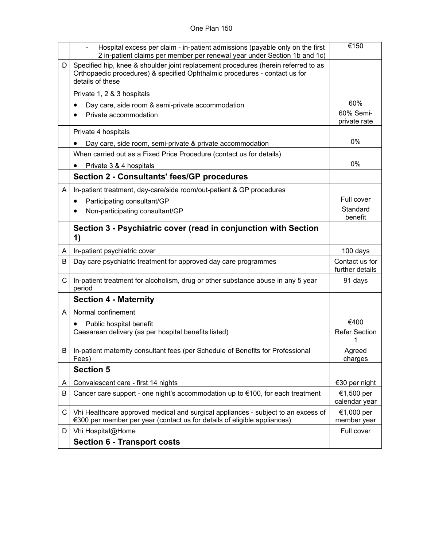## One Plan 150

|              | Hospital excess per claim - in-patient admissions (payable only on the first<br>2 in-patient claims per member per renewal year under Section 1b and 1c)                             | €150                              |
|--------------|--------------------------------------------------------------------------------------------------------------------------------------------------------------------------------------|-----------------------------------|
| D            | Specified hip, knee & shoulder joint replacement procedures (herein referred to as<br>Orthopaedic procedures) & specified Ophthalmic procedures - contact us for<br>details of these |                                   |
|              | Private 1, 2 & 3 hospitals                                                                                                                                                           |                                   |
|              | Day care, side room & semi-private accommodation                                                                                                                                     | 60%                               |
|              | Private accommodation                                                                                                                                                                | 60% Semi-<br>private rate         |
|              | Private 4 hospitals                                                                                                                                                                  |                                   |
|              | Day care, side room, semi-private & private accommodation                                                                                                                            | 0%                                |
|              | When carried out as a Fixed Price Procedure (contact us for details)                                                                                                                 |                                   |
|              | Private 3 & 4 hospitals                                                                                                                                                              | 0%                                |
|              | <b>Section 2 - Consultants' fees/GP procedures</b>                                                                                                                                   |                                   |
| A            | In-patient treatment, day-care/side room/out-patient & GP procedures                                                                                                                 |                                   |
|              | Participating consultant/GP<br>٠                                                                                                                                                     | Full cover                        |
|              | Non-participating consultant/GP                                                                                                                                                      | Standard<br>benefit               |
|              | Section 3 - Psychiatric cover (read in conjunction with Section<br>1)                                                                                                                |                                   |
| A            | In-patient psychiatric cover                                                                                                                                                         | 100 days                          |
| B            | Day care psychiatric treatment for approved day care programmes                                                                                                                      | Contact us for<br>further details |
| $\mathsf{C}$ | In-patient treatment for alcoholism, drug or other substance abuse in any 5 year<br>period                                                                                           | 91 days                           |
|              | <b>Section 4 - Maternity</b>                                                                                                                                                         |                                   |
| A            | Normal confinement                                                                                                                                                                   |                                   |
|              | Public hospital benefit                                                                                                                                                              | €400                              |
|              | Caesarean delivery (as per hospital benefits listed)                                                                                                                                 | <b>Refer Section</b>              |
| ΒI           | In-patient maternity consultant fees (per Schedule of Benefits for Professional<br>Fees)                                                                                             | Agreed<br>charges                 |
|              | <b>Section 5</b>                                                                                                                                                                     |                                   |
| A            | Convalescent care - first 14 nights                                                                                                                                                  | €30 per night                     |
| B            | Cancer care support - one night's accommodation up to €100, for each treatment                                                                                                       | €1,500 per<br>calendar year       |
| C            | Vhi Healthcare approved medical and surgical appliances - subject to an excess of<br>€300 per member per year (contact us for details of eligible appliances)                        | €1,000 per<br>member year         |
| D            | Vhi Hospital@Home                                                                                                                                                                    | Full cover                        |
|              | <b>Section 6 - Transport costs</b>                                                                                                                                                   |                                   |